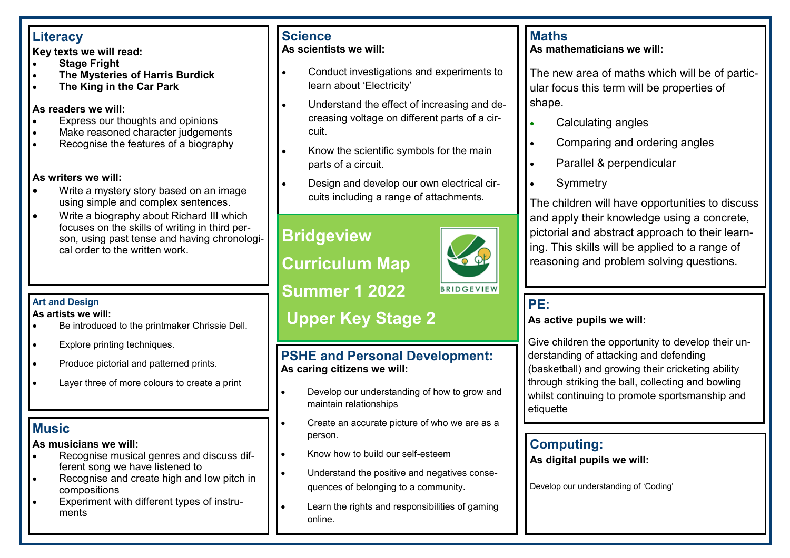## **Literacy**

**Key texts we will read:**

- **Stage Fright**
- **The Mysteries of Harris Burdick**
- **The King in the Car Park**

#### **As readers we will:**

- Express our thoughts and opinions
- Make reasoned character judgements
- Recognise the features of a biography

#### **As writers we will:**

- Write a mystery story based on an image using simple and complex sentences.
- Write a biography about Richard III which focuses on the skills of writing in third person, using past tense and having chronological order to the written work.

#### **Art and Design**

#### **As artists we will:**

- Be introduced to the printmaker Chrissie Dell.
- Explore printing techniques.
- Produce pictorial and patterned prints.
- Layer three of more colours to create a print

# **Music**

### **As musicians we will:**

- Recognise musical genres and discuss different song we have listened to
- Recognise and create high and low pitch in compositions
- Experiment with different types of instruments

#### **Science As scientists we will:**

## • Conduct investigations and experiments to learn about 'Electricity'

- Understand the effect of increasing and decreasing voltage on different parts of a circuit.
- Know the scientific symbols for the main parts of a circuit.
- Design and develop our own electrical circuits including a range of attachments.

# **Bridgeview**

**Curriculum Map**

**Summer 1 2022**

# **Upper Key Stage 2**

## **PSHE and Personal Development: As caring citizens we will:**

- Develop our understanding of how to grow and maintain relationships
- Create an accurate picture of who we are as a person.
- Know how to build our self-esteem
- Understand the positive and negatives consequences of belonging to a community.
- Learn the rights and responsibilities of gaming online.

## **Maths**

#### **As mathematicians we will:**

The new area of maths which will be of particular focus this term will be properties of shape.

- Calculating angles
- Comparing and ordering angles
- Parallel & perpendicular
- **Symmetry**

The children will have opportunities to discuss and apply their knowledge using a concrete, pictorial and abstract approach to their learning. This skills will be applied to a range of reasoning and problem solving questions.

### **PE: As active pupils we will:**

Give children the opportunity to develop their understanding of attacking and defending (basketball) and growing their cricketing ability through striking the ball, collecting and bowling whilst continuing to promote sportsmanship and etiquette

## **Computing:**

**As digital pupils we will:**

Develop our understanding of 'Coding'